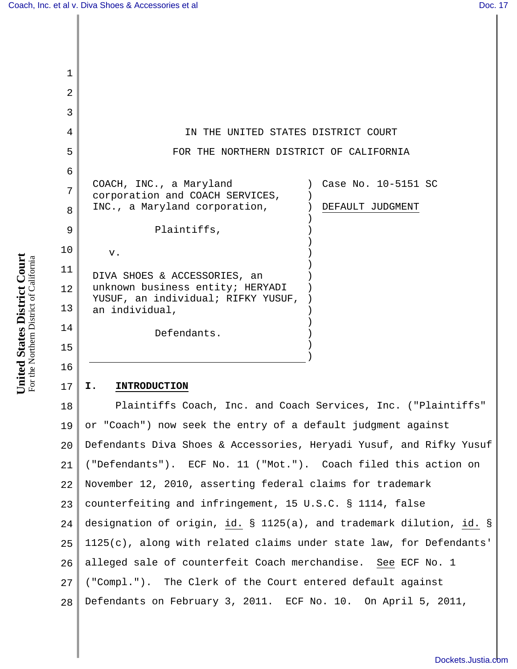| 1        |                                                                        |
|----------|------------------------------------------------------------------------|
| 2        |                                                                        |
| 3        |                                                                        |
| 4        | IN THE UNITED STATES DISTRICT COURT                                    |
| 5        | FOR THE NORTHERN DISTRICT OF CALIFORNIA                                |
| 6        | COACH, INC., a Maryland<br>Case No. 10-5151 SC                         |
| 7        | corporation and COACH SERVICES,                                        |
| 8        | INC., a Maryland corporation,<br>DEFAULT JUDGMENT                      |
| 9        | Plaintiffs,                                                            |
| 10       | v.                                                                     |
| 11       | DIVA SHOES & ACCESSORIES, an                                           |
| 12       | unknown business entity; HERYADI<br>YUSUF, an individual; RIFKY YUSUF, |
| 13       | an individual,                                                         |
| 14       | Defendants.                                                            |
| 15       |                                                                        |
| 16       | I.<br><b>INTRODUCTION</b>                                              |
| 17<br>18 | Plaintiffs Coach, Inc. and Coach Services, Inc. ("Plaintiffs"          |
| 19 I     | or "Coach") now seek the entry of a default judgment against           |
| 20       | Defendants Diva Shoes & Accessories, Heryadi Yusuf, and Rifky Yusuf    |
| 21       | ("Defendants"). ECF No. 11 ("Mot."). Coach filed this action on        |
| 22       | November 12, 2010, asserting federal claims for trademark              |
| 23       | counterfeiting and infringement, 15 U.S.C. § 1114, false               |
|          |                                                                        |

 $24$ 25 26 27 28 designation of origin, id. § 1125(a), and trademark dilution, id. § 1125(c), along with related claims under state law, for Defendants' alleged sale of counterfeit Coach merchandise. See ECF No. 1 ("Compl."). The Clerk of the Court entered default against Defendants on February 3, 2011. ECF No. 10. On April 5, 2011,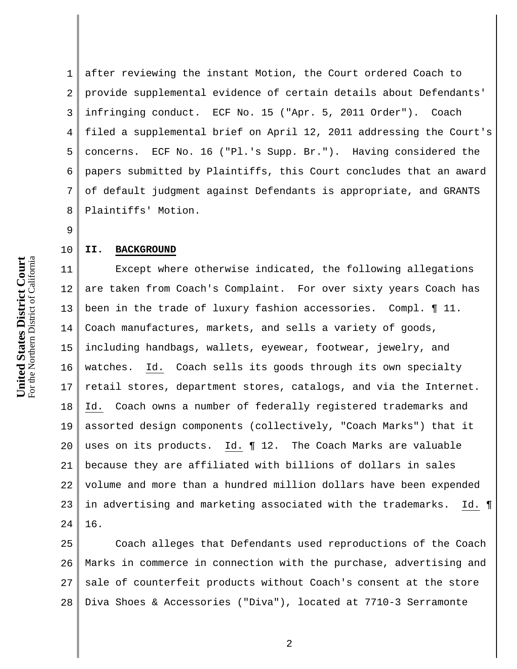1 2 3 4 5 6 7 8 after reviewing the instant Motion, the Court ordered Coach to provide supplemental evidence of certain details about Defendants' infringing conduct. ECF No. 15 ("Apr. 5, 2011 Order"). Coach filed a supplemental brief on April 12, 2011 addressing the Court's concerns. ECF No. 16 ("Pl.'s Supp. Br."). Having considered the papers submitted by Plaintiffs, this Court concludes that an award of default judgment against Defendants is appropriate, and GRANTS Plaintiffs' Motion.

9

10

## **II. BACKGROUND**

11 12 13 14 15 16 17 18 19 20 21 22 23 24 Except where otherwise indicated, the following allegations are taken from Coach's Complaint. For over sixty years Coach has been in the trade of luxury fashion accessories. Compl. ¶ 11. Coach manufactures, markets, and sells a variety of goods, including handbags, wallets, eyewear, footwear, jewelry, and watches. Id. Coach sells its goods through its own specialty retail stores, department stores, catalogs, and via the Internet. Id. Coach owns a number of federally registered trademarks and assorted design components (collectively, "Coach Marks") that it uses on its products. Id. ¶ 12. The Coach Marks are valuable because they are affiliated with billions of dollars in sales volume and more than a hundred million dollars have been expended in advertising and marketing associated with the trademarks. Id. ¶ 16.

25 26 27 28 Coach alleges that Defendants used reproductions of the Coach Marks in commerce in connection with the purchase, advertising and sale of counterfeit products without Coach's consent at the store Diva Shoes & Accessories ("Diva"), located at 7710-3 Serramonte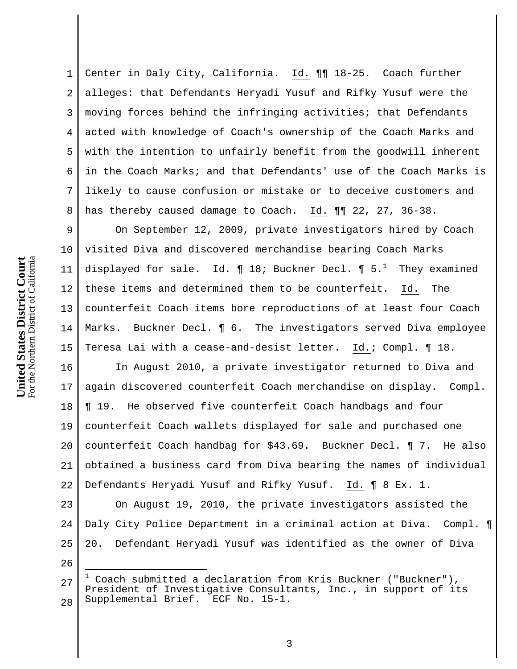1 2 3 4 5 6 7 8 Center in Daly City, California. Id. ¶¶ 18-25. Coach further alleges: that Defendants Heryadi Yusuf and Rifky Yusuf were the moving forces behind the infringing activities; that Defendants acted with knowledge of Coach's ownership of the Coach Marks and with the intention to unfairly benefit from the goodwill inherent in the Coach Marks; and that Defendants' use of the Coach Marks is likely to cause confusion or mistake or to deceive customers and has thereby caused damage to Coach. Id. ¶¶ 22, 27, 36-38.

9 10 11 12 13 14 15 On September 12, 2009, private investigators hired by Coach visited Diva and discovered merchandise bearing Coach Marks displayed for sale.  $\underline{\texttt{Id.}}$  ¶ 18; Buckner Decl. ¶ 5. $^1$  They examined these items and determined them to be counterfeit. Id. The counterfeit Coach items bore reproductions of at least four Coach Marks. Buckner Decl. ¶ 6. The investigators served Diva employee Teresa Lai with a cease-and-desist letter. Id.; Compl. ¶ 18.

16 17 18 19 20 21 22 In August 2010, a private investigator returned to Diva and again discovered counterfeit Coach merchandise on display. Compl. ¶ 19. He observed five counterfeit Coach handbags and four counterfeit Coach wallets displayed for sale and purchased one counterfeit Coach handbag for \$43.69. Buckner Decl. ¶ 7. He also obtained a business card from Diva bearing the names of individual Defendants Heryadi Yusuf and Rifky Yusuf. Id. ¶ 8 Ex. 1.

23 24 25 On August 19, 2010, the private investigators assisted the Daly City Police Department in a criminal action at Diva. Compl. ¶ 20. Defendant Heryadi Yusuf was identified as the owner of Diva

26

J.

<sup>27</sup> 28 1 Coach submitted a declaration from Kris Buckner ("Buckner"), President of Investigative Consultants, Inc., in support of its Supplemental Brief. ECF No. 15-1.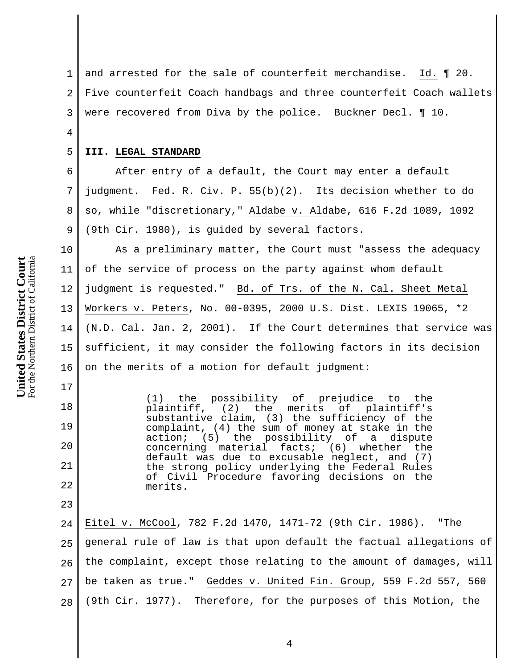1 2 3 and arrested for the sale of counterfeit merchandise. Id. ¶ 20. Five counterfeit Coach handbags and three counterfeit Coach wallets were recovered from Diva by the police. Buckner Decl. ¶ 10.

#### 5 **III. LEGAL STANDARD**

4

6

7

8

9

17

18

19

20

21

22

23

 After entry of a default, the Court may enter a default judgment. Fed. R. Civ. P. 55(b)(2). Its decision whether to do so, while "discretionary," Aldabe v. Aldabe, 616 F.2d 1089, 1092 (9th Cir. 1980), is guided by several factors.

10 11 12 13 14 15 16 As a preliminary matter, the Court must "assess the adequacy of the service of process on the party against whom default judgment is requested." Bd. of Trs. of the N. Cal. Sheet Metal Workers v. Peters, No. 00-0395, 2000 U.S. Dist. LEXIS 19065, \*2 (N.D. Cal. Jan. 2, 2001). If the Court determines that service was sufficient, it may consider the following factors in its decision on the merits of a motion for default judgment:

> (1) the possibility of prejudice to the<br>plaintiff, (2) the merits of plaintiff's  $(2)$  the merits of substantive claim, (3) the sufficiency of the complaint, (4) the sum of money at stake in the action; (5) the possibility of a dispute concerning material facts; (6) whether the default was due to excusable neglect, and (7) the strong policy underlying the Federal Rules of Civil Procedure favoring decisions on the merits.

24 25 26 27 28 Eitel v. McCool, 782 F.2d 1470, 1471-72 (9th Cir. 1986). "The general rule of law is that upon default the factual allegations of the complaint, except those relating to the amount of damages, will be taken as true." Geddes v. United Fin. Group, 559 F.2d 557, 560 (9th Cir. 1977). Therefore, for the purposes of this Motion, the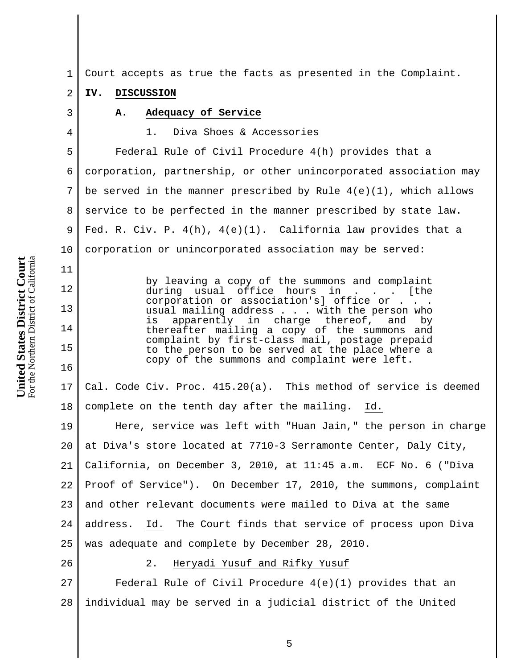1 Court accepts as true the facts as presented in the Complaint.

#### 2 **IV. DISCUSSION**

3

4

11

12

13

14

15

16

## **A. Adequacy of Service**

## 1. Diva Shoes & Accessories

5 6 7 8 9 10 Federal Rule of Civil Procedure 4(h) provides that a corporation, partnership, or other unincorporated association may be served in the manner prescribed by Rule  $4(e)(1)$ , which allows service to be perfected in the manner prescribed by state law. Fed. R. Civ. P.  $4(h)$ ,  $4(e)(1)$ . California law provides that a corporation or unincorporated association may be served:

> by leaving a copy of the summons and complaint<br>during usual office hours in . . . [the during usual office hours in . . corporation or association's] office or . usual mailing address . . . with the person who is apparently in charge thereof, and by thereafter mailing a copy of the summons and complaint by first-class mail, postage prepaid to the person to be served at the place where a copy of the summons and complaint were left.

17 18 Cal. Code Civ. Proc. 415.20(a). This method of service is deemed complete on the tenth day after the mailing. Id.

19 20 21 22 23 24 25 Here, service was left with "Huan Jain," the person in charge at Diva's store located at 7710-3 Serramonte Center, Daly City, California, on December 3, 2010, at 11:45 a.m. ECF No. 6 ("Diva Proof of Service"). On December 17, 2010, the summons, complaint and other relevant documents were mailed to Diva at the same address. Id. The Court finds that service of process upon Diva was adequate and complete by December 28, 2010.

26

### 2. Heryadi Yusuf and Rifky Yusuf

27 28 Federal Rule of Civil Procedure 4(e)(1) provides that an individual may be served in a judicial district of the United

**United States District Court** For the Northern District of California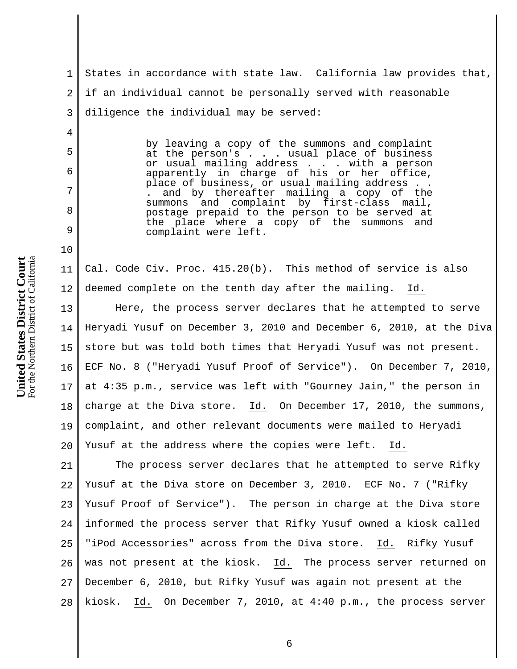4

5

6

7

8

9

10

1 2 3 States in accordance with state law. California law provides that, if an individual cannot be personally served with reasonable diligence the individual may be served:

> by leaving a copy of the summons and complaint at the person's . . . usual place of business or usual mailing address . . . with a person apparently in charge of his or her office, place of business, or usual mailing address . . . and by thereafter mailing a copy of the summons and complaint by first-class mail, postage prepaid to the person to be served at the place where a copy of the summons and complaint were left.

11 12 Cal. Code Civ. Proc. 415.20(b). This method of service is also deemed complete on the tenth day after the mailing. Id.

13 14 15 16 17 18 19 20 Here, the process server declares that he attempted to serve Heryadi Yusuf on December 3, 2010 and December 6, 2010, at the Diva store but was told both times that Heryadi Yusuf was not present. ECF No. 8 ("Heryadi Yusuf Proof of Service"). On December 7, 2010, at 4:35 p.m., service was left with "Gourney Jain," the person in charge at the Diva store. Id. On December 17, 2010, the summons, complaint, and other relevant documents were mailed to Heryadi Yusuf at the address where the copies were left. Id.

21 22 23 24 25 26 27 28 The process server declares that he attempted to serve Rifky Yusuf at the Diva store on December 3, 2010. ECF No. 7 ("Rifky Yusuf Proof of Service"). The person in charge at the Diva store informed the process server that Rifky Yusuf owned a kiosk called "iPod Accessories" across from the Diva store. Id. Rifky Yusuf was not present at the kiosk. Id. The process server returned on December 6, 2010, but Rifky Yusuf was again not present at the kiosk. Id. On December 7, 2010, at 4:40 p.m., the process server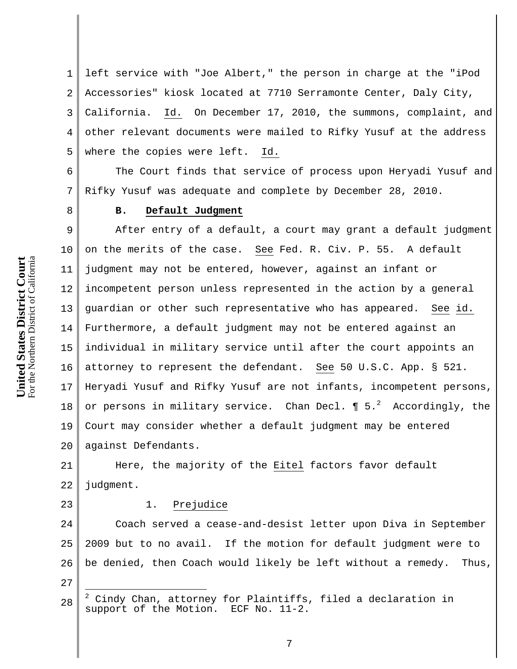1 2 3 4 5 left service with "Joe Albert," the person in charge at the "iPod Accessories" kiosk located at 7710 Serramonte Center, Daly City, California. Id. On December 17, 2010, the summons, complaint, and other relevant documents were mailed to Rifky Yusuf at the address where the copies were left. Id.

6 7 The Court finds that service of process upon Heryadi Yusuf and Rifky Yusuf was adequate and complete by December 28, 2010.

8

# **B. Default Judgment**

9 10 11 12 13 14 15 16 17 18 19 20 After entry of a default, a court may grant a default judgment on the merits of the case. See Fed. R. Civ. P. 55. A default judgment may not be entered, however, against an infant or incompetent person unless represented in the action by a general guardian or other such representative who has appeared. See id. Furthermore, a default judgment may not be entered against an individual in military service until after the court appoints an attorney to represent the defendant. See 50 U.S.C. App. § 521. Heryadi Yusuf and Rifky Yusuf are not infants, incompetent persons, or persons in military service. Chan Decl.  $\P$  5. $^2$  Accordingly, the Court may consider whether a default judgment may be entered against Defendants.

21 22 Here, the majority of the Eitel factors favor default judgment.

23

# 1. Prejudice

24 25 26 Coach served a cease-and-desist letter upon Diva in September 2009 but to no avail. If the motion for default judgment were to be denied, then Coach would likely be left without a remedy. Thus,

 $\overline{\phantom{a}}$ 

<sup>27</sup>

<sup>28</sup> 2 Cindy Chan, attorney for Plaintiffs, filed a declaration in<br>upport of the Motion. ECF No. 11-2. support of the Motion.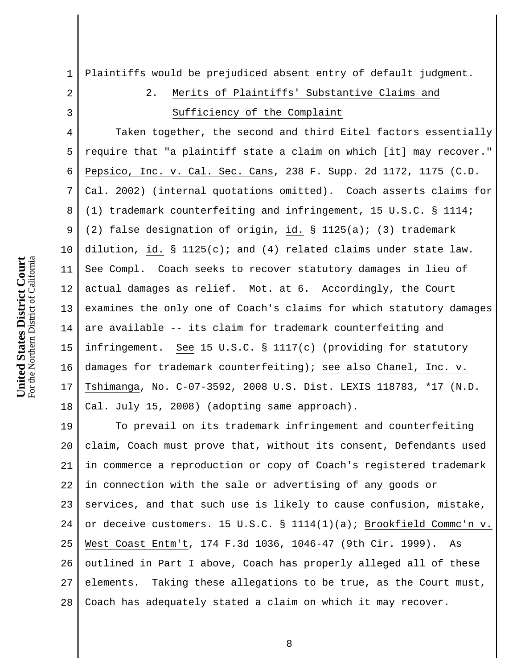1

2 3 4 5 6 7 8 9 10 11 12 13 14 15 16 17 18 19 2. Merits of Plaintiffs' Substantive Claims and Sufficiency of the Complaint Taken together, the second and third Eitel factors essentially require that "a plaintiff state a claim on which [it] may recover." Pepsico, Inc. v. Cal. Sec. Cans, 238 F. Supp. 2d 1172, 1175 (C.D. Cal. 2002) (internal quotations omitted). Coach asserts claims for (1) trademark counterfeiting and infringement, 15 U.S.C. § 1114; (2) false designation of origin, id. § 1125(a); (3) trademark dilution, id.  $\S$  1125(c); and (4) related claims under state law. See Compl. Coach seeks to recover statutory damages in lieu of actual damages as relief. Mot. at 6. Accordingly, the Court examines the only one of Coach's claims for which statutory damages are available -- its claim for trademark counterfeiting and infringement. See 15 U.S.C. § 1117(c) (providing for statutory damages for trademark counterfeiting); see also Chanel, Inc. v. Tshimanga, No. C-07-3592, 2008 U.S. Dist. LEXIS 118783, \*17 (N.D. Cal. July 15, 2008) (adopting same approach). To prevail on its trademark infringement and counterfeiting

Plaintiffs would be prejudiced absent entry of default judgment.

20 21 22 23 24 25 26 27 28 claim, Coach must prove that, without its consent, Defendants used in commerce a reproduction or copy of Coach's registered trademark in connection with the sale or advertising of any goods or services, and that such use is likely to cause confusion, mistake, or deceive customers. 15 U.S.C. § 1114(1)(a); Brookfield Commc'n v. West Coast Entm't, 174 F.3d 1036, 1046-47 (9th Cir. 1999). As outlined in Part I above, Coach has properly alleged all of these elements. Taking these allegations to be true, as the Court must, Coach has adequately stated a claim on which it may recover.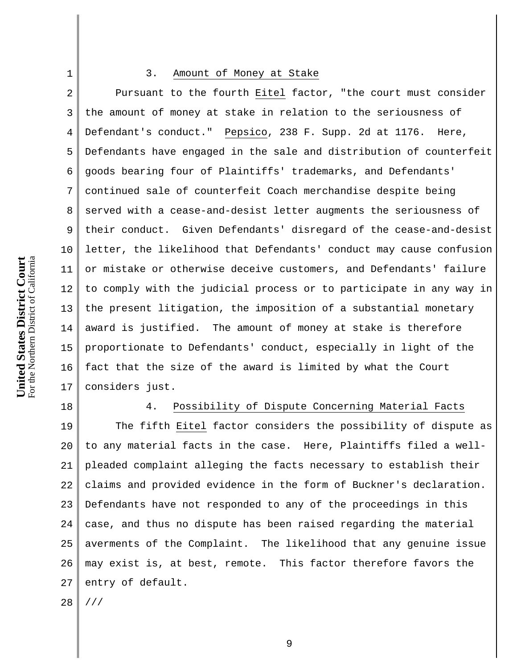### 3. Amount of Money at Stake

2 3 4 5 6 7 8 9 10 11 12 13 14 15 16 17 Pursuant to the fourth Eitel factor, "the court must consider the amount of money at stake in relation to the seriousness of Defendant's conduct." Pepsico, 238 F. Supp. 2d at 1176. Here, Defendants have engaged in the sale and distribution of counterfeit goods bearing four of Plaintiffs' trademarks, and Defendants' continued sale of counterfeit Coach merchandise despite being served with a cease-and-desist letter augments the seriousness of their conduct. Given Defendants' disregard of the cease-and-desist letter, the likelihood that Defendants' conduct may cause confusion or mistake or otherwise deceive customers, and Defendants' failure to comply with the judicial process or to participate in any way in the present litigation, the imposition of a substantial monetary award is justified. The amount of money at stake is therefore proportionate to Defendants' conduct, especially in light of the fact that the size of the award is limited by what the Court considers just.

18

1

# 4. Possibility of Dispute Concerning Material Facts

19 20 21 22 23 24 25 26 27 28 The fifth Eitel factor considers the possibility of dispute as to any material facts in the case. Here, Plaintiffs filed a wellpleaded complaint alleging the facts necessary to establish their claims and provided evidence in the form of Buckner's declaration. Defendants have not responded to any of the proceedings in this case, and thus no dispute has been raised regarding the material averments of the Complaint. The likelihood that any genuine issue may exist is, at best, remote. This factor therefore favors the entry of default. ///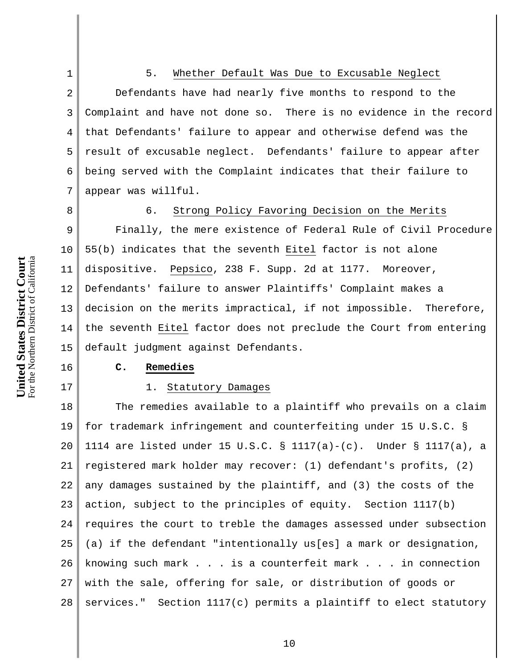## 5. Whether Default Was Due to Excusable Neglect

2 3 4 5 7 Defendants have had nearly five months to respond to the Complaint and have not done so. There is no evidence in the record that Defendants' failure to appear and otherwise defend was the result of excusable neglect. Defendants' failure to appear after being served with the Complaint indicates that their failure to appear was willful.

8

16

17

6

1

# 6. Strong Policy Favoring Decision on the Merits

9 10 11 12 13 14 15 Finally, the mere existence of Federal Rule of Civil Procedure 55(b) indicates that the seventh Eitel factor is not alone dispositive. Pepsico, 238 F. Supp. 2d at 1177. Moreover, Defendants' failure to answer Plaintiffs' Complaint makes a decision on the merits impractical, if not impossible. Therefore, the seventh Eitel factor does not preclude the Court from entering default judgment against Defendants.

## **C. Remedies**

#### 1. Statutory Damages

18 19 20 21 22 23 24 25 26 27 28 The remedies available to a plaintiff who prevails on a claim for trademark infringement and counterfeiting under 15 U.S.C. § 1114 are listed under 15 U.S.C. § 1117(a)-(c). Under § 1117(a), a registered mark holder may recover: (1) defendant's profits, (2) any damages sustained by the plaintiff, and (3) the costs of the action, subject to the principles of equity. Section 1117(b) requires the court to treble the damages assessed under subsection (a) if the defendant "intentionally us[es] a mark or designation, knowing such mark . . . is a counterfeit mark . . . in connection with the sale, offering for sale, or distribution of goods or services." Section 1117(c) permits a plaintiff to elect statutory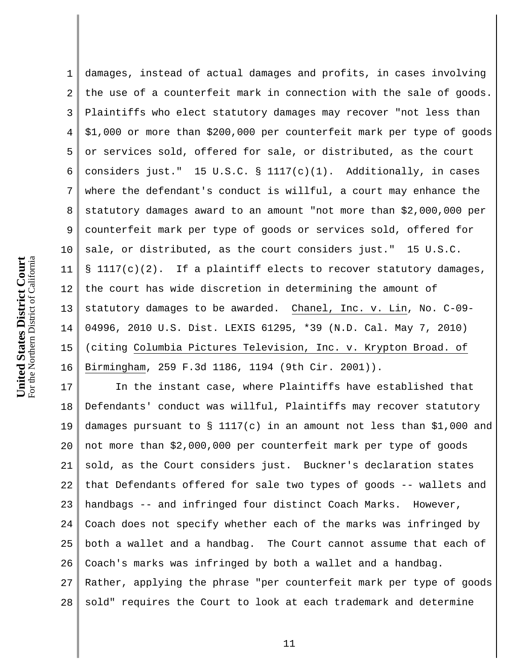1 2 3 4 5 6 7 8 9 10 11 12 13 14 15 16 damages, instead of actual damages and profits, in cases involving the use of a counterfeit mark in connection with the sale of goods. Plaintiffs who elect statutory damages may recover "not less than \$1,000 or more than \$200,000 per counterfeit mark per type of goods or services sold, offered for sale, or distributed, as the court considers just." 15 U.S.C.  $\S$  1117(c)(1). Additionally, in cases where the defendant's conduct is willful, a court may enhance the statutory damages award to an amount "not more than \$2,000,000 per counterfeit mark per type of goods or services sold, offered for sale, or distributed, as the court considers just." 15 U.S.C. § 1117(c)(2). If a plaintiff elects to recover statutory damages, the court has wide discretion in determining the amount of statutory damages to be awarded. Chanel, Inc. v. Lin, No. C-09- 04996, 2010 U.S. Dist. LEXIS 61295, \*39 (N.D. Cal. May 7, 2010) (citing Columbia Pictures Television, Inc. v. Krypton Broad. of Birmingham, 259 F.3d 1186, 1194 (9th Cir. 2001)).

17 18 19 20 21 22 23 24 25 26 27 28 In the instant case, where Plaintiffs have established that Defendants' conduct was willful, Plaintiffs may recover statutory damages pursuant to § 1117(c) in an amount not less than \$1,000 and not more than \$2,000,000 per counterfeit mark per type of goods sold, as the Court considers just. Buckner's declaration states that Defendants offered for sale two types of goods -- wallets and handbags -- and infringed four distinct Coach Marks. However, Coach does not specify whether each of the marks was infringed by both a wallet and a handbag. The Court cannot assume that each of Coach's marks was infringed by both a wallet and a handbag. Rather, applying the phrase "per counterfeit mark per type of goods sold" requires the Court to look at each trademark and determine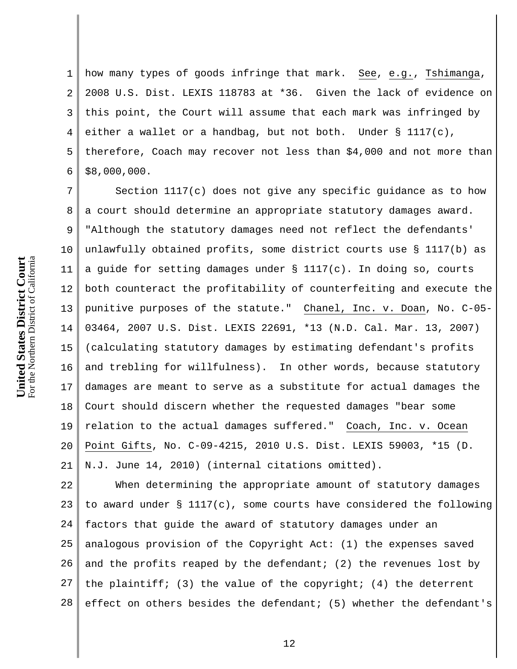1 2 3 4 5 6 how many types of goods infringe that mark. See, e.g., Tshimanga, 2008 U.S. Dist. LEXIS 118783 at \*36. Given the lack of evidence on this point, the Court will assume that each mark was infringed by either a wallet or a handbag, but not both. Under § 1117(c), therefore, Coach may recover not less than \$4,000 and not more than \$8,000,000.

7 8 9 10 11 12 13 14 15 16 17 18 19 20 21 Section 1117(c) does not give any specific guidance as to how a court should determine an appropriate statutory damages award. "Although the statutory damages need not reflect the defendants' unlawfully obtained profits, some district courts use § 1117(b) as a guide for setting damages under  $\S$  1117(c). In doing so, courts both counteract the profitability of counterfeiting and execute the punitive purposes of the statute." Chanel, Inc. v. Doan, No. C-05- 03464, 2007 U.S. Dist. LEXIS 22691, \*13 (N.D. Cal. Mar. 13, 2007) (calculating statutory damages by estimating defendant's profits and trebling for willfulness). In other words, because statutory damages are meant to serve as a substitute for actual damages the Court should discern whether the requested damages "bear some relation to the actual damages suffered." Coach, Inc. v. Ocean Point Gifts, No. C-09-4215, 2010 U.S. Dist. LEXIS 59003, \*15 (D. N.J. June 14, 2010) (internal citations omitted).

22 23 24 25 26 27 28 When determining the appropriate amount of statutory damages to award under § 1117(c), some courts have considered the following factors that guide the award of statutory damages under an analogous provision of the Copyright Act: (1) the expenses saved and the profits reaped by the defendant; (2) the revenues lost by the plaintiff; (3) the value of the copyright; (4) the deterrent effect on others besides the defendant; (5) whether the defendant's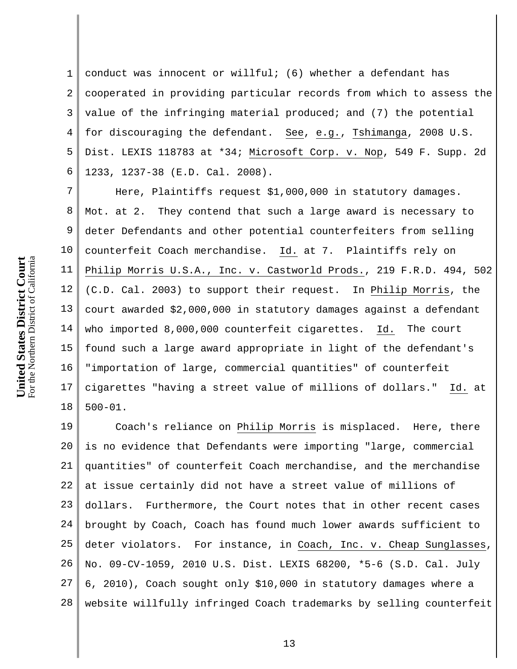1 2 3 4 5 6 conduct was innocent or willful; (6) whether a defendant has cooperated in providing particular records from which to assess the value of the infringing material produced; and (7) the potential for discouraging the defendant. See, e.g., Tshimanga, 2008 U.S. Dist. LEXIS 118783 at \*34; Microsoft Corp. v. Nop, 549 F. Supp. 2d 1233, 1237-38 (E.D. Cal. 2008).

7 8 9 10 11 12 13 14 15 16 17 18 Here, Plaintiffs request \$1,000,000 in statutory damages. Mot. at 2. They contend that such a large award is necessary to deter Defendants and other potential counterfeiters from selling counterfeit Coach merchandise. Id. at 7. Plaintiffs rely on Philip Morris U.S.A., Inc. v. Castworld Prods., 219 F.R.D. 494, 502 (C.D. Cal. 2003) to support their request. In Philip Morris, the court awarded \$2,000,000 in statutory damages against a defendant who imported 8,000,000 counterfeit cigarettes. Id. The court found such a large award appropriate in light of the defendant's "importation of large, commercial quantities" of counterfeit cigarettes "having a street value of millions of dollars." Id. at 500-01.

19 20 21 22 23 24 25 26 27 28 Coach's reliance on Philip Morris is misplaced. Here, there is no evidence that Defendants were importing "large, commercial quantities" of counterfeit Coach merchandise, and the merchandise at issue certainly did not have a street value of millions of dollars. Furthermore, the Court notes that in other recent cases brought by Coach, Coach has found much lower awards sufficient to deter violators. For instance, in Coach, Inc. v. Cheap Sunglasses, No. 09-CV-1059, 2010 U.S. Dist. LEXIS 68200, \*5-6 (S.D. Cal. July 6, 2010), Coach sought only \$10,000 in statutory damages where a website willfully infringed Coach trademarks by selling counterfeit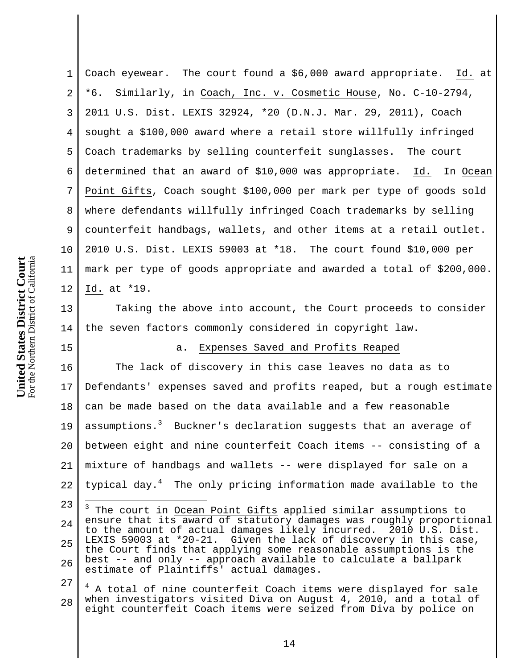1 2 3 4 5 6 7 8 9 10 11 12 Coach eyewear. The court found a \$6,000 award appropriate. Id. at \*6. Similarly, in Coach, Inc. v. Cosmetic House, No. C-10-2794, 2011 U.S. Dist. LEXIS 32924, \*20 (D.N.J. Mar. 29, 2011), Coach sought a \$100,000 award where a retail store willfully infringed Coach trademarks by selling counterfeit sunglasses. The court determined that an award of \$10,000 was appropriate. Id. In Ocean Point Gifts, Coach sought \$100,000 per mark per type of goods sold where defendants willfully infringed Coach trademarks by selling counterfeit handbags, wallets, and other items at a retail outlet. 2010 U.S. Dist. LEXIS 59003 at \*18. The court found \$10,000 per mark per type of goods appropriate and awarded a total of \$200,000. Id. at \*19.

13 14 Taking the above into account, the Court proceeds to consider the seven factors commonly considered in copyright law.

# a. Expenses Saved and Profits Reaped

16 17 18 19 20 21 22 The lack of discovery in this case leaves no data as to Defendants' expenses saved and profits reaped, but a rough estimate can be made based on the data available and a few reasonable assumptions.<sup>3</sup> Buckner's declaration suggests that an average of between eight and nine counterfeit Coach items -- consisting of a mixture of handbags and wallets -- were displayed for sale on a typical day.<sup>4</sup> The only pricing information made available to the

27 28 <sup>4</sup> A total of nine counterfeit Coach items were displayed for sale when investigators visited Diva on August 4, 2010, and a total of eight counterfeit Coach items were seized from Diva by police on

<sup>23</sup> 24 25 26 3 The court in Ocean Point Gifts applied similar assumptions to ensure that its award of statutory damages was roughly proportional to the amount of actual damages likely incurred. 2010 U.S. Dist. LEXIS 59003 at \*20-21. Given the lack of discovery in this case, the Court finds that applying some reasonable assumptions is the best -- and only -- approach available to calculate a ballpark estimate of Plaintiffs' actual damages.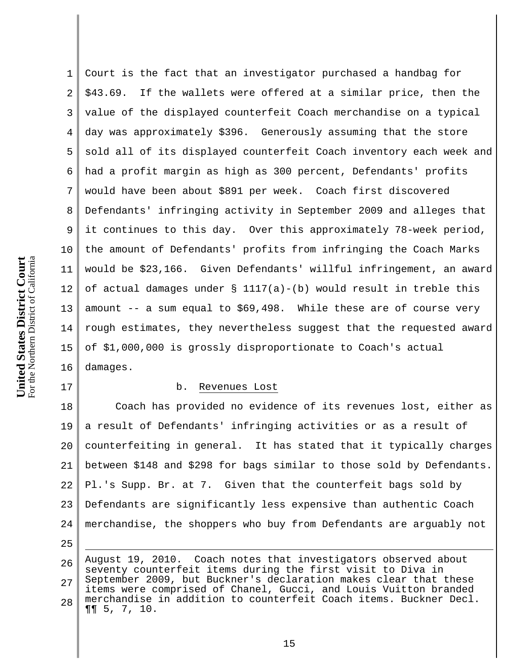1 2 3 4 5 6 7 8 9 10 11 12 13 14 15 16 Court is the fact that an investigator purchased a handbag for \$43.69. If the wallets were offered at a similar price, then the value of the displayed counterfeit Coach merchandise on a typical day was approximately \$396. Generously assuming that the store sold all of its displayed counterfeit Coach inventory each week and had a profit margin as high as 300 percent, Defendants' profits would have been about \$891 per week. Coach first discovered Defendants' infringing activity in September 2009 and alleges that it continues to this day. Over this approximately 78-week period, the amount of Defendants' profits from infringing the Coach Marks would be \$23,166. Given Defendants' willful infringement, an award of actual damages under  $\S$  1117(a)-(b) would result in treble this amount -- a sum equal to \$69,498. While these are of course very rough estimates, they nevertheless suggest that the requested award of \$1,000,000 is grossly disproportionate to Coach's actual damages.

#### b. Revenues Lost

18 19 20 21 22 23 24 Coach has provided no evidence of its revenues lost, either as a result of Defendants' infringing activities or as a result of counterfeiting in general. It has stated that it typically charges between \$148 and \$298 for bags similar to those sold by Defendants. Pl.'s Supp. Br. at 7. Given that the counterfeit bags sold by Defendants are significantly less expensive than authentic Coach merchandise, the shoppers who buy from Defendants are arguably not

25

i

17

26 27 28 August 19, 2010. Coach notes that investigators observed about seventy counterfeit items during the first visit to Diva in September 2009, but Buckner's declaration makes clear that these items were comprised of Chanel, Gucci, and Louis Vuitton branded merchandise in addition to counterfeit Coach items. Buckner Decl. ¶¶ 5, 7, 10.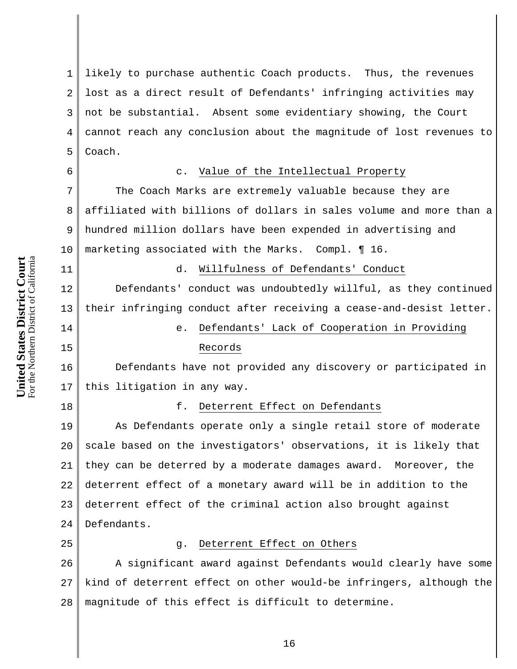1 2 3 4 5 likely to purchase authentic Coach products. Thus, the revenues lost as a direct result of Defendants' infringing activities may not be substantial. Absent some evidentiary showing, the Court cannot reach any conclusion about the magnitude of lost revenues to Coach.

6 7

8

9

10

11

14

15

# c. Value of the Intellectual Property

The Coach Marks are extremely valuable because they are affiliated with billions of dollars in sales volume and more than a hundred million dollars have been expended in advertising and marketing associated with the Marks. Compl. ¶ 16.

d. Willfulness of Defendants' Conduct

12 13 Defendants' conduct was undoubtedly willful, as they continued their infringing conduct after receiving a cease-and-desist letter.

e. Defendants' Lack of Cooperation in Providing

## Records

16 17 Defendants have not provided any discovery or participated in this litigation in any way.

18

#### f. Deterrent Effect on Defendants

19 20 21 22 23 24 As Defendants operate only a single retail store of moderate scale based on the investigators' observations, it is likely that they can be deterred by a moderate damages award. Moreover, the deterrent effect of a monetary award will be in addition to the deterrent effect of the criminal action also brought against Defendants.

25

#### g. Deterrent Effect on Others

26 27 28 A significant award against Defendants would clearly have some kind of deterrent effect on other would-be infringers, although the magnitude of this effect is difficult to determine.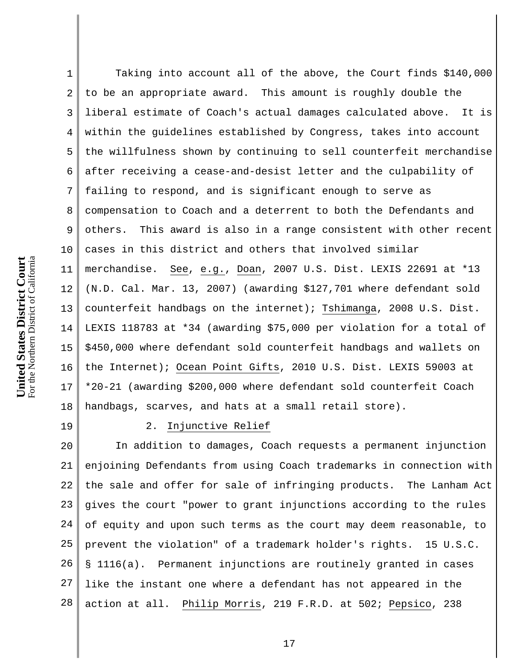1 2 3 4 5 6 7 8 9 10 11 12 13 14 15 16 17 18 Taking into account all of the above, the Court finds \$140,000 to be an appropriate award. This amount is roughly double the liberal estimate of Coach's actual damages calculated above. It is within the guidelines established by Congress, takes into account the willfulness shown by continuing to sell counterfeit merchandise after receiving a cease-and-desist letter and the culpability of failing to respond, and is significant enough to serve as compensation to Coach and a deterrent to both the Defendants and others. This award is also in a range consistent with other recent cases in this district and others that involved similar merchandise. See, e.g., Doan, 2007 U.S. Dist. LEXIS 22691 at \*13 (N.D. Cal. Mar. 13, 2007) (awarding \$127,701 where defendant sold counterfeit handbags on the internet); Tshimanga, 2008 U.S. Dist. LEXIS 118783 at \*34 (awarding \$75,000 per violation for a total of \$450,000 where defendant sold counterfeit handbags and wallets on the Internet); Ocean Point Gifts, 2010 U.S. Dist. LEXIS 59003 at \*20-21 (awarding \$200,000 where defendant sold counterfeit Coach handbags, scarves, and hats at a small retail store).

19

### 2. Injunctive Relief

20 21 22 23 24 25 26 27 28 In addition to damages, Coach requests a permanent injunction enjoining Defendants from using Coach trademarks in connection with the sale and offer for sale of infringing products. The Lanham Act gives the court "power to grant injunctions according to the rules of equity and upon such terms as the court may deem reasonable, to prevent the violation" of a trademark holder's rights. 15 U.S.C. § 1116(a). Permanent injunctions are routinely granted in cases like the instant one where a defendant has not appeared in the action at all. Philip Morris, 219 F.R.D. at 502; Pepsico, 238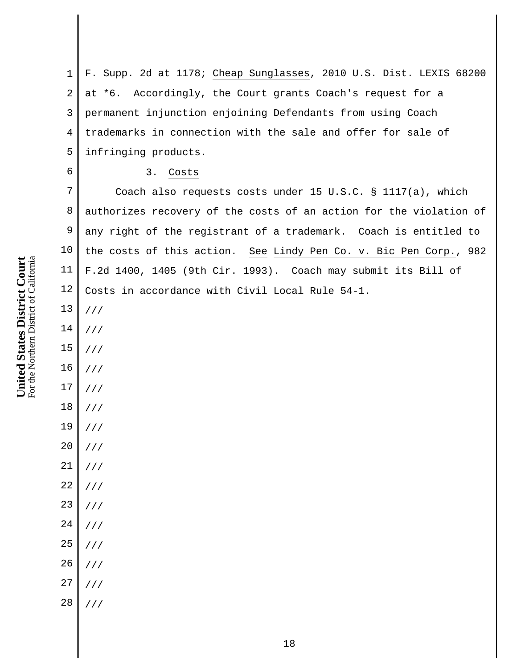1 2 3 4 5 F. Supp. 2d at 1178; Cheap Sunglasses, 2010 U.S. Dist. LEXIS 68200 at \*6. Accordingly, the Court grants Coach's request for a permanent injunction enjoining Defendants from using Coach trademarks in connection with the sale and offer for sale of infringing products.

#### 3. Costs

7 8 9 Coach also requests costs under 15 U.S.C. § 1117(a), which authorizes recovery of the costs of an action for the violation of any right of the registrant of a trademark. Coach is entitled to n Co. v. Bic Pen Corp., 982 may submit its Bill of  $\leq 54-1.$ 

**United States District**  For the Northern District of California

**Court**

| 10          | the costs of this action. See Lindy Pe  |
|-------------|-----------------------------------------|
| 11          | F.2d 1400, 1405 (9th Cir. 1993). Coach  |
| $12\,$      | Costs in accordance with Civil Local Ru |
| 13          | //                                      |
| $14\,$      | //                                      |
| 15          | $\frac{1}{2}$                           |
| 16          | $\frac{1}{2}$                           |
| 17          | $\frac{1}{2}$                           |
| $18\,$      | $\frac{1}{2}$                           |
| 19          | $\frac{1}{2}$                           |
| $20\,$      | $\frac{1}{2}$                           |
| 21          | $\frac{1}{2}$                           |
| $2\sqrt{2}$ | $\frac{1}{2}$                           |
| 23          | $\frac{1}{2}$                           |
| 24          | $\frac{1}{2}$                           |
| 25          | $\frac{1}{2}$                           |
| 26          | $\frac{1}{2}$                           |
| 27          | $\frac{1}{2}$                           |
| 28          | $\frac{1}{2}$                           |
|             |                                         |
|             |                                         |